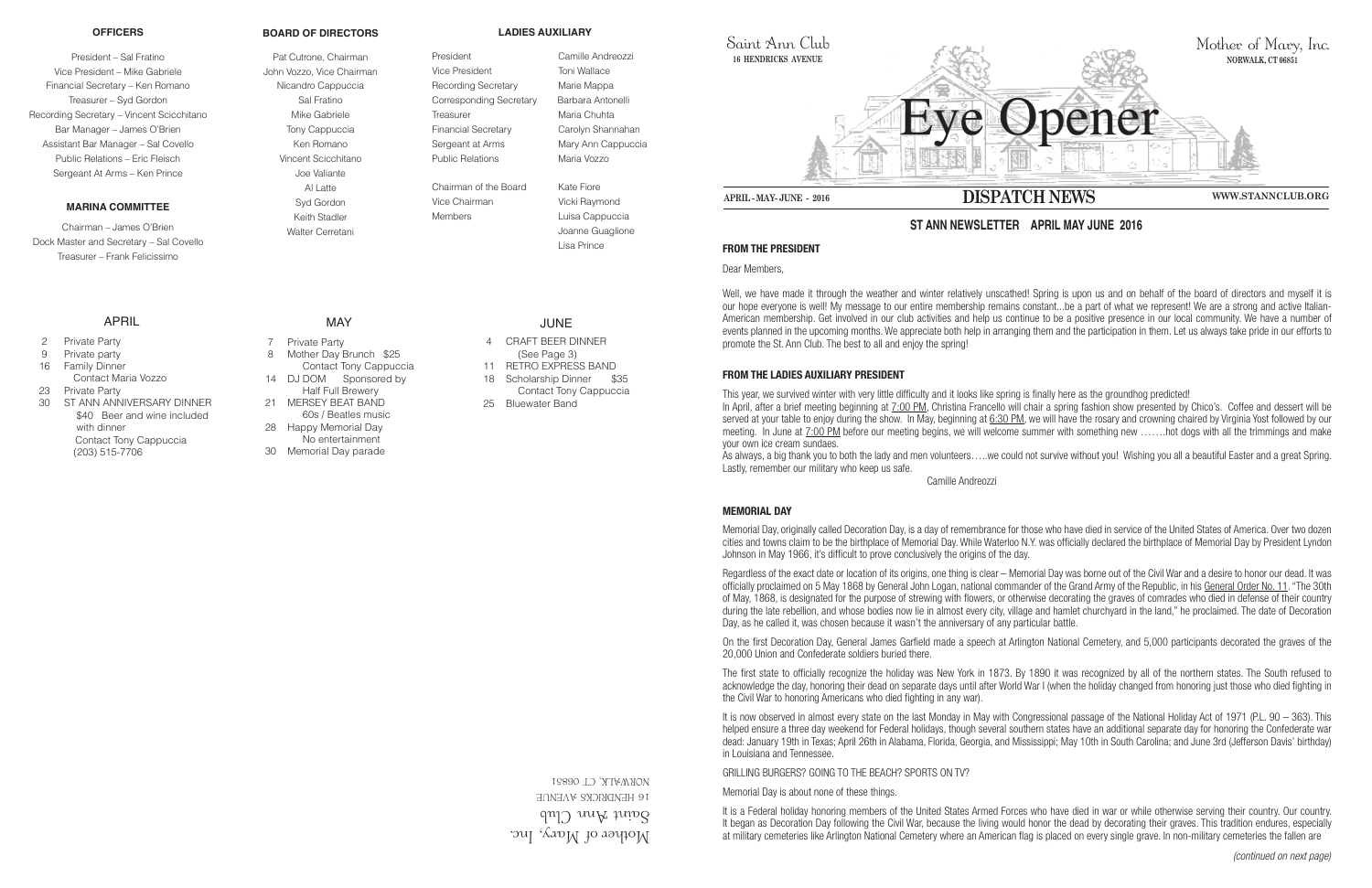Mother of Mary, Inc.  $\gamma$ ann ann Club **16 HENDRICKS AVENUE** 06851 NORWALK, CT



Saint Ann Club **16 HENDRICKS AVENUE**

### **FROM THE PRESIDENT**

Dear Members,

Well, we have made it through the weather and winter relatively unscathed! Spring is upon us and on behalf of the board of directors and myself it is our hope everyone is well! My message to our entire membership remains constant...be a part of what we represent! We are a strong and active Italian-American membership. Get involved in our club activities and help us continue to be a positive presence in our local community. We have a number of events planned in the upcoming months. We appreciate both help in arranging them and the participation in them. Let us always take pride in our efforts to promote the St. Ann Club. The best to all and enjoy the spring!

### **FROM THE LADIES AUXILIARY PRESIDENT**

This year, we survived winter with very little difficulty and it looks like spring is finally here as the groundhog predicted! In April, after a brief meeting beginning at 7:00 PM, Christina Francello will chair a spring fashion show presented by Chico's. Coffee and dessert will be served at your table to enjoy during the show. In May, beginning at 6:30 PM, we will have the rosary and crowning chaired by Virginia Yost followed by our meeting. In June at 7:00 PM before our meeting begins, we will welcome summer with something new …….hot dogs with all the trimmings and make your own ice cream sundaes.

As always, a big thank you to both the lady and men volunteers…..we could not survive without you! Wishing you all a beautiful Easter and a great Spring. Lastly, remember our military who keep us safe.

Camille Andreozzi

# **MEMORIAL DAY**

It is now observed in almost every state on the last Monday in May with Congressional passage of the National Holiday Act of 1971 (P.L. 90 – 363). This helped ensure a three day weekend for Federal holidays, though several southern states have an additional separate day for honoring the Confederate war dead: January 19th in Texas; April 26th in Alabama, Florida, Georgia, and Mississippi; May 10th in South Carolina; and June 3rd (Jefferson Davis' birthday) in Louisiana and Tennessee.

Memorial Day, originally called Decoration Day, is a day of remembrance for those who have died in service of the United States of America. Over two dozen cities and towns claim to be the birthplace of Memorial Day. While Waterloo N.Y. was officially declared the birthplace of Memorial Day by President Lyndon Johnson in May 1966, it's difficult to prove conclusively the origins of the day.

Regardless of the exact date or location of its origins, one thing is clear – Memorial Day was borne out of the Civil War and a desire to honor our dead. It was officially proclaimed on 5 May 1868 by General John Logan, national commander of the Grand Army of the Republic, in his General Order No. 11. "The 30th of May, 1868, is designated for the purpose of strewing with flowers, or otherwise decorating the graves of comrades who died in defense of their country during the late rebellion, and whose bodies now lie in almost every city, village and hamlet churchyard in the land," he proclaimed. The date of Decoration Day, as he called it, was chosen because it wasn't the anniversary of any particular battle.

On the first Decoration Day, General James Garfield made a speech at Arlington National Cemetery, and 5,000 participants decorated the graves of the 20,000 Union and Confederate soldiers buried there.

The first state to officially recognize the holiday was New York in 1873. By 1890 it was recognized by all of the northern states. The South refused to acknowledge the day, honoring their dead on separate days until after World War I (when the holiday changed from honoring just those who died fighting in the Civil War to honoring Americans who died fighting in any war).

GRILLING BURGERS? GOING TO THE BEACH? SPORTS ON TV?

Memorial Day is about none of these things.

It is a Federal holiday honoring members of the United States Armed Forces who have died in war or while otherwise serving their country. Our country. It began as Decoration Day following the Civil War, because the living would honor the dead by decorating their graves. This tradition endures, especially at military cemeteries like Arlington National Cemetery where an American flag is placed on every single grave. In non-military cemeteries the fallen are

# **ST ANN NEWSLETTER APRIL MAY JUNE 2016**

#### **OFFICERS**

President – Sal Fratino Vice President – Mike Gabriele Financial Secretary – Ken Romano Treasurer – Syd Gordon Recording Secretary – Vincent Scicchitano Bar Manager – James O'Brien Assistant Bar Manager – Sal Covello Public Relations – Eric Fleisch Sergeant At Arms – Ken Prince

#### **MARINA COMMITTEE**

Chairman – James O'Brien Dock Master and Secretary – Sal Covello Treasurer – Frank Felicissimo

#### **BOARD OF DIRECTORS**

Pat Cutrone, Chairman John Vozzo, Vice Chairman Nicandro Cappuccia Sal Fratino Mike Gabriele Tony Cappuccia Ken Romano Vincent Scicchitano Joe Valiante Al Latte Syd Gordon Keith Stadler Walter Cerretani

#### **LADIES AUXILIARY**

President Camille Andreozzi Vice President Toni Wallace Recording Secretary Marie Mappa Corresponding Secretary Barbara Antonelli Treasurer Maria Chuhta Financial Secretary Carolyn Shannahan Sergeant at Arms Mary Ann Cappuccia Public Relations Maria Vozzo

Chairman of the Board Kate Fiore Vice Chairman Vicki Raymond Members **Luisa Cappuccia** 

 Joanne Guaglione Lisa Prince

# APRIL

- 2 Private Party
- 9 Private party
- 16 Family Dinner
- Contact Maria Vozzo
- 23 Private Party
- 30 ST ANN ANNIVERSARY DINNER \$40 Beer and wine included with dinner Contact Tony Cappuccia (203) 515-7706

# MAY

- 7 Private Party 8 Mother Day Brunch \$25 Contact Tony Cappuccia
- 14 DJ DOM Sponsored by
- Half Full Brewery 21 MERSEY BEAT BAND
- 60s / Beatles music 28 Happy Memorial Day No entertainment
- 30 Memorial Day parade

# JUNE

- 4 CRAFT BEER DINNER
- (See Page 3)
- 11 RETRO EXPRESS BAND 18 Scholarship Dinner \$35
- Contact Tony Cappuccia
- 25 Bluewater Band